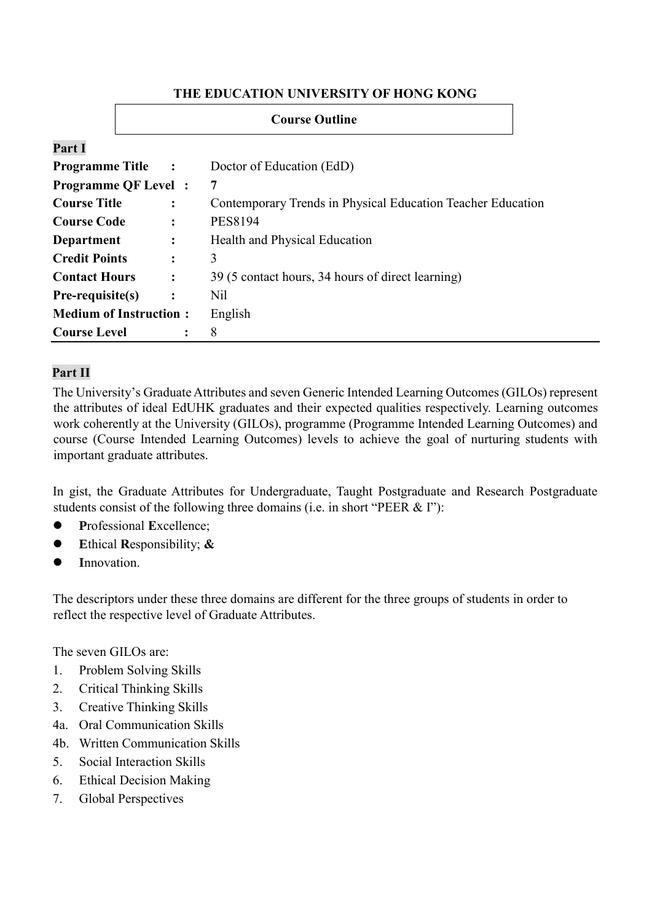#### **THE EDUCATION UNIVERSITY OF HONG KONG**

|                               | <b>Course Outline</b> |   |                                                             |  |  |  |
|-------------------------------|-----------------------|---|-------------------------------------------------------------|--|--|--|
| Part I                        |                       |   |                                                             |  |  |  |
| <b>Programme Title</b>        | $\sim$ :              |   | Doctor of Education (EdD)                                   |  |  |  |
| <b>Programme QF Level</b> :   |                       |   | $\overline{7}$                                              |  |  |  |
| <b>Course Title</b>           | $\ddot{\cdot}$        |   | Contemporary Trends in Physical Education Teacher Education |  |  |  |
| <b>Course Code</b>            | ፡                     |   | <b>PES8194</b>                                              |  |  |  |
| Department                    | $\ddot{\cdot}$        |   | Health and Physical Education                               |  |  |  |
| <b>Credit Points</b>          | $\ddot{\cdot}$        |   | 3                                                           |  |  |  |
| <b>Contact Hours</b>          | $\ddot{\cdot}$        |   | 39 (5 contact hours, 34 hours of direct learning)           |  |  |  |
| $Pre-requistic(s)$            | $\ddot{\cdot}$        |   | Nil                                                         |  |  |  |
| <b>Medium of Instruction:</b> |                       |   | English                                                     |  |  |  |
| <b>Course Level</b>           |                       | : | 8                                                           |  |  |  |

# **Part II**

The University's Graduate Attributes and seven Generic Intended Learning Outcomes (GILOs) represent the attributes of ideal EdUHK graduates and their expected qualities respectively. Learning outcomes work coherently at the University (GILOs), programme (Programme Intended Learning Outcomes) and course (Course Intended Learning Outcomes) levels to achieve the goal of nurturing students with important graduate attributes.

In gist, the Graduate Attributes for Undergraduate, Taught Postgraduate and Research Postgraduate students consist of the following three domains (i.e. in short "PEER & I"):

- **P**rofessional **E**xcellence;
- **E**thical **R**esponsibility; **&**
- **I**nnovation.

The descriptors under these three domains are different for the three groups of students in order to reflect the respective level of Graduate Attributes.

The seven GILOs are:

- 1. Problem Solving Skills
- 2. Critical Thinking Skills
- 3. Creative Thinking Skills
- 4a. Oral Communication Skills
- 4b. Written Communication Skills
- 5. Social Interaction Skills
- 6. Ethical Decision Making
- 7. Global Perspectives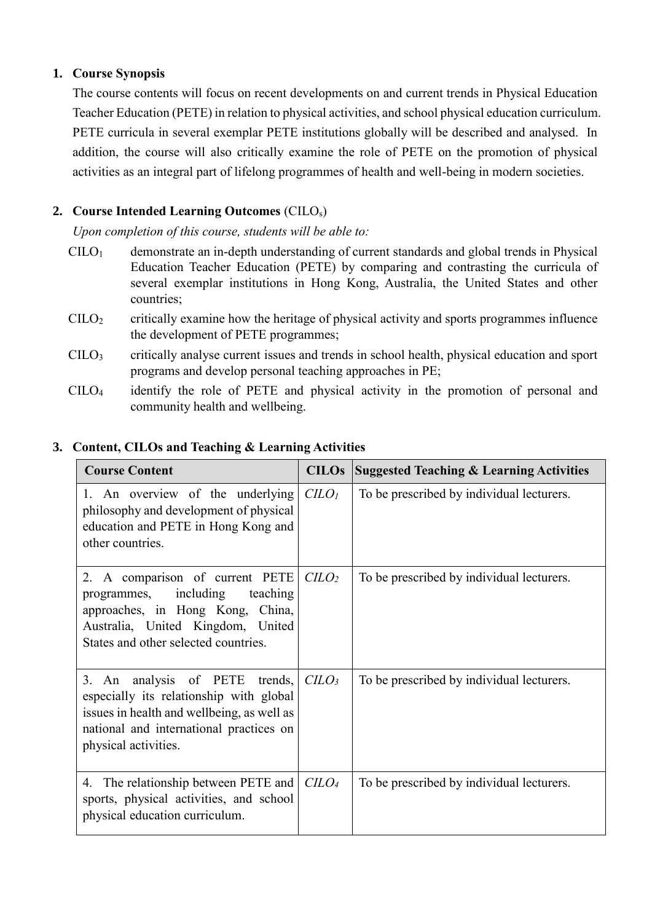# **1. Course Synopsis**

The course contents will focus on recent developments on and current trends in Physical Education Teacher Education (PETE) in relation to physical activities, and school physical education curriculum. PETE curricula in several exemplar PETE institutions globally will be described and analysed. In addition, the course will also critically examine the role of PETE on the promotion of physical activities as an integral part of lifelong programmes of health and well-being in modern societies.

# **2. Course Intended Learning Outcomes** (CILOs)

*Upon completion of this course, students will be able to:*

- $CILO<sub>1</sub>$  demonstrate an in-depth understanding of current standards and global trends in Physical Education Teacher Education (PETE) by comparing and contrasting the curricula of several exemplar institutions in Hong Kong, Australia, the United States and other countries;
- $\text{CILO}_2$  critically examine how the heritage of physical activity and sports programmes influence the development of PETE programmes;
- CILO<sup>3</sup> critically analyse current issues and trends in school health, physical education and sport programs and develop personal teaching approaches in PE;
- CILO<sup>4</sup> identify the role of PETE and physical activity in the promotion of personal and community health and wellbeing.

| <b>Course Content</b>                                                                                                                                                                         | <b>CILOs</b>                | <b>Suggested Teaching &amp; Learning Activities</b> |
|-----------------------------------------------------------------------------------------------------------------------------------------------------------------------------------------------|-----------------------------|-----------------------------------------------------|
| 1. An overview of the underlying<br>philosophy and development of physical<br>education and PETE in Hong Kong and<br>other countries.                                                         | C <sub>LO<sub>l</sub></sub> | To be prescribed by individual lecturers.           |
| 2. A comparison of current PETE<br>programmes, including<br>teaching<br>approaches, in Hong Kong, China,<br>Australia, United Kingdom, United<br>States and other selected countries.         | C <sub>LO</sub>             | To be prescribed by individual lecturers.           |
| 3. An analysis of PETE<br>trends,<br>especially its relationship with global<br>issues in health and wellbeing, as well as<br>national and international practices on<br>physical activities. | C <sub>LO<sub>3</sub></sub> | To be prescribed by individual lecturers.           |
| 4. The relationship between PETE and<br>sports, physical activities, and school<br>physical education curriculum.                                                                             | C <sub>LO<sub>4</sub></sub> | To be prescribed by individual lecturers.           |

# **3. Content, CILOs and Teaching & Learning Activities**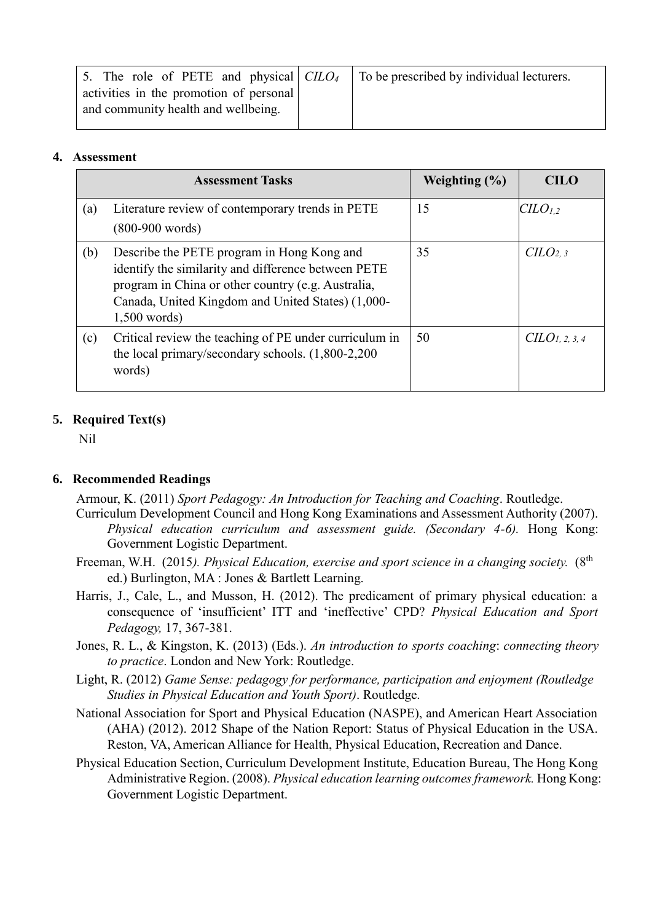| 5. The role of PETE and physical $CLLO4$ | To be prescribed by individual lecturers. |
|------------------------------------------|-------------------------------------------|
| activities in the promotion of personal  |                                           |
| and community health and wellbeing.      |                                           |

#### **4. Assessment**

|     | <b>Assessment Tasks</b>                                                                                                                                                                                                        | Weighting $(\% )$ | <b>CILO</b>                 |
|-----|--------------------------------------------------------------------------------------------------------------------------------------------------------------------------------------------------------------------------------|-------------------|-----------------------------|
| (a) | Literature review of contemporary trends in PETE<br>$(800-900$ words)                                                                                                                                                          | 15                | $C\mu O_{1,2}$              |
| (b) | Describe the PETE program in Hong Kong and<br>identify the similarity and difference between PETE<br>program in China or other country (e.g. Australia,<br>Canada, United Kingdom and United States) (1,000-<br>$1,500$ words) | 35                | C <i>LO</i> <sub>2, 3</sub> |
| (c) | Critical review the teaching of PE under curriculum in<br>the local primary/secondary schools. $(1,800-2,200)$<br>words)                                                                                                       | 50                | $CLO$ 1, 2, 3, 4            |

## **5. Required Text(s)**

Nil

## **6. Recommended Readings**

Armour, K. (2011) *Sport Pedagogy: An Introduction for Teaching and Coaching*. Routledge.

- Curriculum Development Council and Hong Kong Examinations and Assessment Authority (2007). *Physical education curriculum and assessment guide. (Secondary 4-6).* Hong Kong: Government Logistic Department.
- Freeman, W.H. (2015*). Physical Education, exercise and sport science in a changing society.* (8th ed.) Burlington, MA : Jones & Bartlett Learning.
- Harris, J., Cale, L., and Musson, H. (2012). The predicament of primary physical education: a consequence of 'insufficient' ITT and 'ineffective' CPD? *Physical Education and Sport Pedagogy,* 17, 367-381.
- Jones, R. L., & Kingston, K. (2013) (Eds.). *An introduction to sports coaching*: *connecting theory to practice*. London and New York: Routledge.
- Light, R. (2012) *Game Sense: pedagogy for performance, participation and enjoyment (Routledge Studies in Physical Education and Youth Sport)*. Routledge.
- National Association for Sport and Physical Education (NASPE), and American Heart Association (AHA) (2012). 2012 Shape of the Nation Report: Status of Physical Education in the USA. Reston, VA, American Alliance for Health, Physical Education, Recreation and Dance.
- Physical Education Section, Curriculum Development Institute, Education Bureau, The Hong Kong Administrative Region. (2008). *Physical education learning outcomes framework.* Hong Kong: Government Logistic Department.